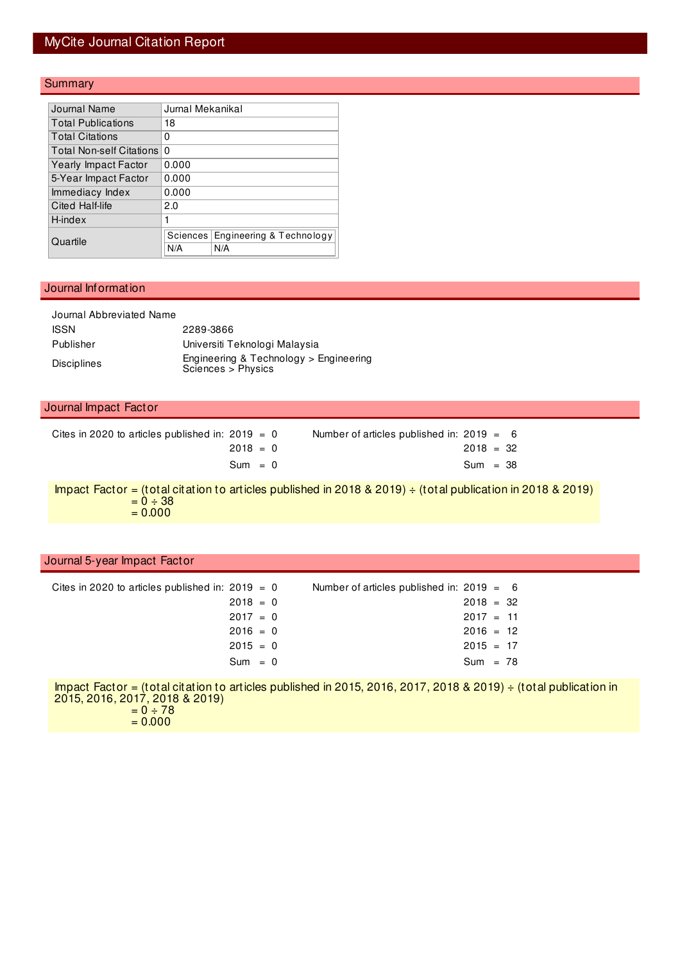## MyCite Journal Citation Report

### **Summary**

| Journal Name                | Jurnal Mekanikal |                          |  |  |  |  |
|-----------------------------|------------------|--------------------------|--|--|--|--|
| <b>Total Publications</b>   | 18               |                          |  |  |  |  |
| <b>Total Citations</b>      | 0                |                          |  |  |  |  |
| Total Non-self Citations    | 0                |                          |  |  |  |  |
| <b>Yearly Impact Factor</b> | 0.000            |                          |  |  |  |  |
| 5-Year Impact Factor        | 0.000            |                          |  |  |  |  |
| Immediacy Index             | 0.000            |                          |  |  |  |  |
| Cited Half-life             | 2.0              |                          |  |  |  |  |
| H-index                     | 1                |                          |  |  |  |  |
| Quartile                    | Sciences         | Engineering & Technology |  |  |  |  |
|                             | N/A              | N/A                      |  |  |  |  |

#### Journal Information

| Journal Abbreviated Name |                                                              |
|--------------------------|--------------------------------------------------------------|
| <b>ISSN</b>              | 2289-3866                                                    |
| Publisher                | Universiti Teknologi Malaysia                                |
| <b>Disciplines</b>       | Engineering & Technology > Engineering<br>Sciences > Physics |

#### Journal Impact Factor

| Cites in 2020 to articles published in: $2019 = 0$ |  | Number of articles published in: $2019 = 6$ |             |  |  |
|----------------------------------------------------|--|---------------------------------------------|-------------|--|--|
| $2018 = 0$                                         |  |                                             | $2018 = 32$ |  |  |
| $Sum = 0$                                          |  |                                             | $Sum = 38$  |  |  |

Impact Factor = (total citation to articles published in 2018 & 2019)  $\div$  (total publication in 2018 & 2019)  $= 0 \div 38$  $= 0.000$ 

#### Journal 5-year Impact Factor

| Cites in 2020 to articles published in: $2019 = 0$ | Number of articles published in: $2019 = 6$ |             |  |
|----------------------------------------------------|---------------------------------------------|-------------|--|
| $2018 = 0$                                         |                                             | $2018 = 32$ |  |
| $2017 = 0$                                         |                                             | $2017 = 11$ |  |
| $2016 = 0$                                         |                                             | $2016 = 12$ |  |
| $2015 = 0$                                         |                                             | $2015 = 17$ |  |
| $Sum = 0$                                          |                                             | $Sum = 78$  |  |

Impact Factor = (total citation to articles published in 2015, 2016, 2017, 2018 & 2019) ÷ (total publication in 2015, 2016, 2017, 2018 & 2019)  $= 0 \div 78$  $= 0.000$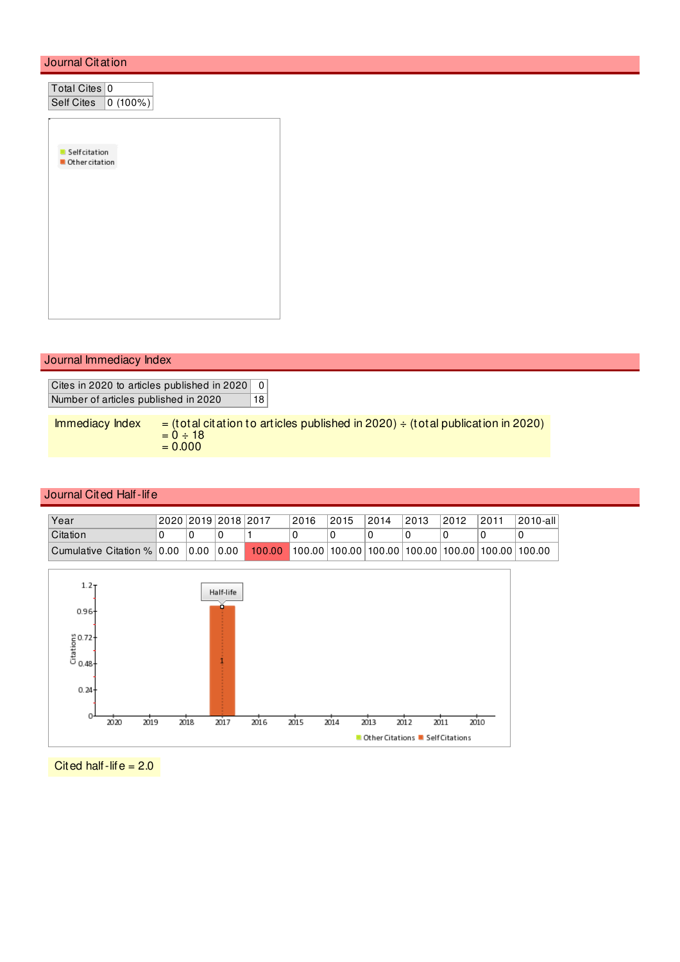### Journal Citation

| Total Cites 0                  |  |  |  |
|--------------------------------|--|--|--|
| Self Cites 0 (100%)            |  |  |  |
|                                |  |  |  |
|                                |  |  |  |
|                                |  |  |  |
| Selfcitation<br>Other citation |  |  |  |
|                                |  |  |  |
|                                |  |  |  |
|                                |  |  |  |
|                                |  |  |  |
|                                |  |  |  |
|                                |  |  |  |
|                                |  |  |  |
|                                |  |  |  |
|                                |  |  |  |
|                                |  |  |  |
|                                |  |  |  |

### Journal Immediacy Index

Cites in 2020 to articles published in 2020 0 Number of articles published in 2020 18

Immediacy Index  $=$  (total citation to articles published in 2020)  $\div$  (total publication in 2020)  $= 0 \div 18$  $= 0.000$ 

#### Journal Cited Half-life

| Year                       | 2020 2019 2018 2017 |                                                                         | 2016 | 2015 | 2014 | 2013 | 2012 | 2011 | 2010-all |
|----------------------------|---------------------|-------------------------------------------------------------------------|------|------|------|------|------|------|----------|
| Citation                   |                     |                                                                         |      |      |      |      |      |      |          |
| Cumulative Citation % 0.00 | 0.00   0.00         | $100.00$   100.00   100.00   100.00   100.00   100.00   100.00   100.00 |      |      |      |      |      |      |          |



Cited half-life  $= 2.0$